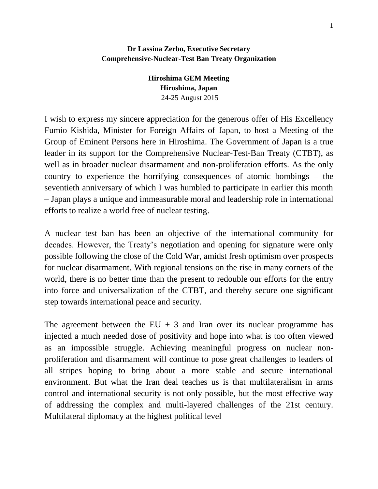## **Dr Lassina Zerbo, Executive Secretary Comprehensive-Nuclear-Test Ban Treaty Organization**

| Hiroshima GEM Meeting |
|-----------------------|
| Hiroshima, Japan      |
| 24-25 August 2015     |

I wish to express my sincere appreciation for the generous offer of His Excellency Fumio Kishida, Minister for Foreign Affairs of Japan, to host a Meeting of the Group of Eminent Persons here in Hiroshima. The Government of Japan is a true leader in its support for the Comprehensive Nuclear-Test-Ban Treaty (CTBT), as well as in broader nuclear disarmament and non-proliferation efforts. As the only country to experience the horrifying consequences of atomic bombings – the seventieth anniversary of which I was humbled to participate in earlier this month – Japan plays a unique and immeasurable moral and leadership role in international efforts to realize a world free of nuclear testing.

A nuclear test ban has been an objective of the international community for decades. However, the Treaty's negotiation and opening for signature were only possible following the close of the Cold War, amidst fresh optimism over prospects for nuclear disarmament. With regional tensions on the rise in many corners of the world, there is no better time than the present to redouble our efforts for the entry into force and universalization of the CTBT, and thereby secure one significant step towards international peace and security.

The agreement between the  $EU + 3$  and Iran over its nuclear programme has injected a much needed dose of positivity and hope into what is too often viewed as an impossible struggle. Achieving meaningful progress on nuclear nonproliferation and disarmament will continue to pose great challenges to leaders of all stripes hoping to bring about a more stable and secure international environment. But what the Iran deal teaches us is that multilateralism in arms control and international security is not only possible, but the most effective way of addressing the complex and multi-layered challenges of the 21st century. Multilateral diplomacy at the highest political level